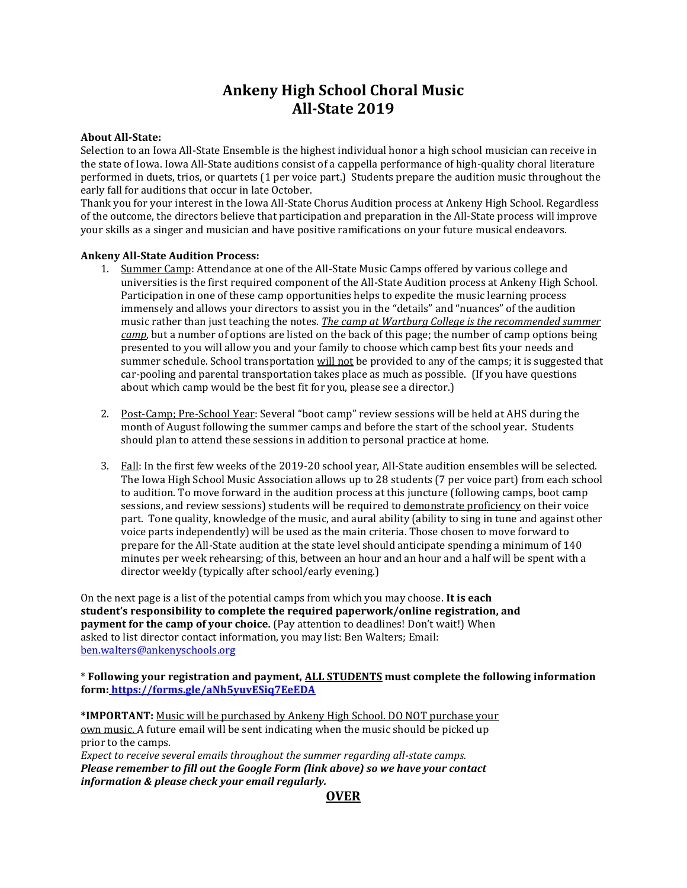# **Ankeny High School Choral Music All-State 2019**

### **About All-State:**

Selection to an Iowa All-State Ensemble is the highest individual honor a high school musician can receive in the state of Iowa. Iowa All-State auditions consist of a cappella performance of high-quality choral literature performed in duets, trios, or quartets (1 per voice part.) Students prepare the audition music throughout the early fall for auditions that occur in late October.

Thank you for your interest in the Iowa All-State Chorus Audition process at Ankeny High School. Regardless of the outcome, the directors believe that participation and preparation in the All-State process will improve your skills as a singer and musician and have positive ramifications on your future musical endeavors.

#### **Ankeny All-State Audition Process:**

- 1. Summer Camp: Attendance at one of the All-State Music Camps offered by various college and universities is the first required component of the All-State Audition process at Ankeny High School. Participation in one of these camp opportunities helps to expedite the music learning process immensely and allows your directors to assist you in the "details" and "nuances" of the audition music rather than just teaching the notes. *The camp at Wartburg College is the recommended summer camp*, but a number of options are listed on the back of this page; the number of camp options being presented to you will allow you and your family to choose which camp best fits your needs and summer schedule. School transportation will not be provided to any of the camps; it is suggested that car-pooling and parental transportation takes place as much as possible. (If you have questions about which camp would be the best fit for you, please see a director.)
- 2. Post-Camp: Pre-School Year: Several "boot camp" review sessions will be held at AHS during the month of August following the summer camps and before the start of the school year. Students should plan to attend these sessions in addition to personal practice at home.
- 3. Fall: In the first few weeks of the 2019-20 school year, All-State audition ensembles will be selected. The Iowa High School Music Association allows up to 28 students (7 per voice part) from each school to audition. To move forward in the audition process at this juncture (following camps, boot camp sessions, and review sessions) students will be required to demonstrate proficiency on their voice part. Tone quality, knowledge of the music, and aural ability (ability to sing in tune and against other voice parts independently) will be used as the main criteria. Those chosen to move forward to prepare for the All-State audition at the state level should anticipate spending a minimum of 140 minutes per week rehearsing; of this, between an hour and an hour and a half will be spent with a director weekly (typically after school/early evening.)

On the next page is a list of the potential camps from which you may choose. **It is each student's responsibility to complete the required paperwork/online registration, and payment for the camp of your choice.** (Pay attention to deadlines! Don't wait!) When asked to list director contact information, you may list: Ben Walters; Email: [ben.walters@ankenyschools.org](mailto:ben.walters@ankenyschools.org)

\* **Following your registration and payment, ALL STUDENTS must complete the following information form: <https://forms.gle/aNh5yuvESiq7EeEDA>**

**\*IMPORTANT:** Music will be purchased by Ankeny High School. DO NOT purchase your own music. A future email will be sent indicating when the music should be picked up prior to the camps.

*Expect to receive several emails throughout the summer regarding all-state camps. Please remember to fill out the Google Form (link above) so we have your contact information & please check your email regularly.*

### **OVER**